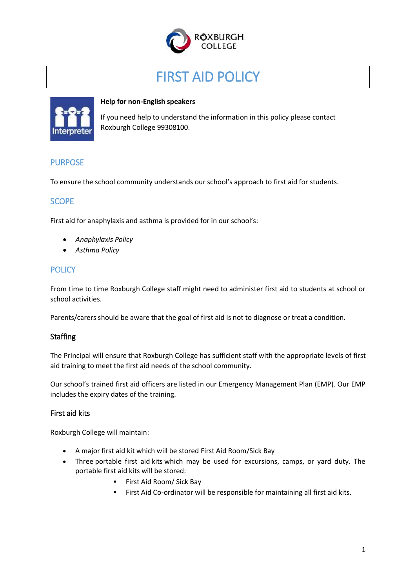

# FIRST AID POLICY



#### **Help for non-English speakers**

If you need help to understand the information in this policy please contact Roxburgh College 99308100.

#### PURPOSE

To ensure the school community understands our school's approach to first aid for students.

# **SCOPE**

First aid for anaphylaxis and asthma is provided for in our school's:

- *Anaphylaxis Policy*
- *Asthma Policy*

# **POLICY**

From time to time Roxburgh College staff might need to administer first aid to students at school or school activities.

Parents/carers should be aware that the goal of first aid is not to diagnose or treat a condition.

#### **Staffing**

The Principal will ensure that Roxburgh College has sufficient staff with the appropriate levels of first aid training to meet the first aid needs of the school community.

Our school's trained first aid officers are listed in our Emergency Management Plan (EMP). Our EMP includes the expiry dates of the training.

#### First aid kits

Roxburgh College will maintain:

- A major first aid kit which will be stored First Aid Room/Sick Bay
- Three portable first aid kits which may be used for excursions, camps, or yard duty. The portable first aid kits will be stored:
	- **First Aid Room/ Sick Bay**
	- First Aid Co-ordinator will be responsible for maintaining all first aid kits.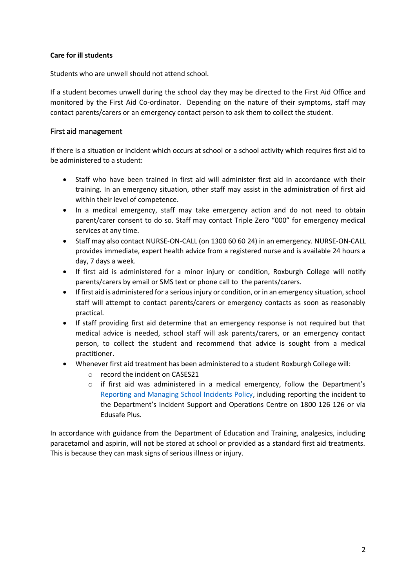#### **Care for ill students**

Students who are unwell should not attend school.

If a student becomes unwell during the school day they may be directed to the First Aid Office and monitored by the First Aid Co-ordinator. Depending on the nature of their symptoms, staff may contact parents/carers or an emergency contact person to ask them to collect the student.

#### First aid management

If there is a situation or incident which occurs at school or a school activity which requires first aid to be administered to a student:

- Staff who have been trained in first aid will administer first aid in accordance with their training. In an emergency situation, other staff may assist in the administration of first aid within their level of competence.
- In a medical emergency, staff may take emergency action and do not need to obtain parent/carer consent to do so. Staff may contact Triple Zero "000" for emergency medical services at any time.
- Staff may also contact NURSE-ON-CALL (on 1300 60 60 24) in an emergency. NURSE-ON-CALL provides immediate, expert health advice from a registered nurse and is available 24 hours a day, 7 days a week.
- If first aid is administered for a minor injury or condition, Roxburgh College will notify parents/carers by email or SMS text or phone call to the parents/carers.
- If first aid is administered for a serious injury or condition, or in an emergency situation, school staff will attempt to contact parents/carers or emergency contacts as soon as reasonably practical.
- If staff providing first aid determine that an emergency response is not required but that medical advice is needed, school staff will ask parents/carers, or an emergency contact person, to collect the student and recommend that advice is sought from a medical practitioner.
- Whenever first aid treatment has been administered to a student Roxburgh College will:
	- o record the incident on CASES21
	- $\circ$  if first aid was administered in a medical emergency, follow the Department's [Reporting and Managing School Incidents Policy,](https://www2.education.vic.gov.au/pal/reporting-and-managing-school-incidents-including-emergencies/policy) including reporting the incident to the Department's Incident Support and Operations Centre on 1800 126 126 or via Edusafe Plus.

In accordance with guidance from the Department of Education and Training, analgesics, including paracetamol and aspirin, will not be stored at school or provided as a standard first aid treatments. This is because they can mask signs of serious illness or injury.